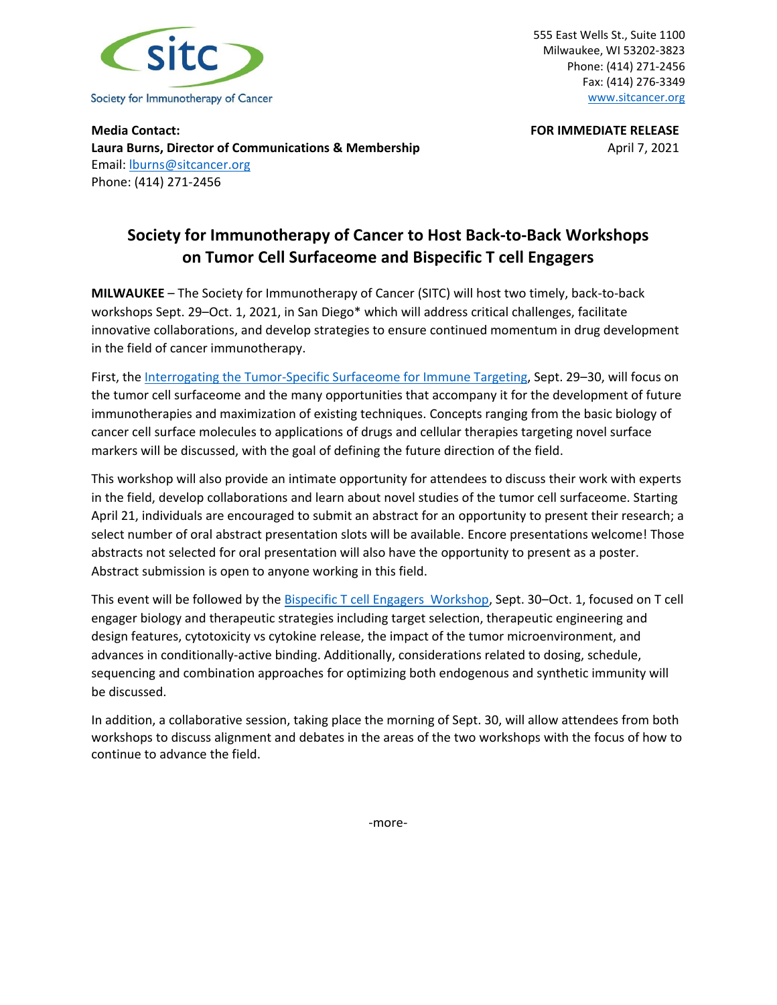

555 East Wells St., Suite 1100 Milwaukee, WI 53202-3823 Phone: (414) 271-2456 Fax: (414) 276-3349 [www.sitcancer.org](http://www.sitcancer.org/)

**Media Contact: FOR IMMEDIATE RELEASE Laura Burns, Director of Communications & Membership** April 7, 2021 Email: [lburns@sitcancer.org](mailto:lburns@sitcancer.org) Phone: (414) 271-2456

## **Society for Immunotherapy of Cancer to Host Back-to-Back Workshops on Tumor Cell Surfaceome and Bispecific T cell Engagers**

**MILWAUKEE** – The Society for Immunotherapy of Cancer (SITC) will host two timely, back-to-back workshops Sept. 29–Oct. 1, 2021, in San Diego\* which will address critical challenges, facilitate innovative collaborations, and develop strategies to ensure continued momentum in drug development in the field of cancer immunotherapy.

First, the [Interrogating the Tumor-Specific Surfaceome for Immune Targeting,](https://www.sitcancer.org/education/immune-targeting-workshop) Sept. 29–30, will focus on the tumor cell surfaceome and the many opportunities that accompany it for the development of future immunotherapies and maximization of existing techniques. Concepts ranging from the basic biology of cancer cell surface molecules to applications of drugs and cellular therapies targeting novel surface markers will be discussed, with the goal of defining the future direction of the field.

This workshop will also provide an intimate opportunity for attendees to discuss their work with experts in the field, develop collaborations and learn about novel studies of the tumor cell surfaceome. Starting April 21, individuals are encouraged to submit an abstract for an opportunity to present their research; a select number of oral abstract presentation slots will be available. Encore presentations welcome! Those abstracts not selected for oral presentation will also have the opportunity to present as a poster. Abstract submission is open to anyone working in this field.

This event will be followed by the [Bispecific T cell Engagers Workshop,](https://www.sitcancer.org/education/bispecificworkshop) Sept. 30-Oct. 1, focused on T cell engager biology and therapeutic strategies including target selection, therapeutic engineering and design features, cytotoxicity vs cytokine release, the impact of the tumor microenvironment, and advances in conditionally-active binding. Additionally, considerations related to dosing, schedule, sequencing and combination approaches for optimizing both endogenous and synthetic immunity will be discussed.

In addition, a collaborative session, taking place the morning of Sept. 30, will allow attendees from both workshops to discuss alignment and debates in the areas of the two workshops with the focus of how to continue to advance the field.

-more-